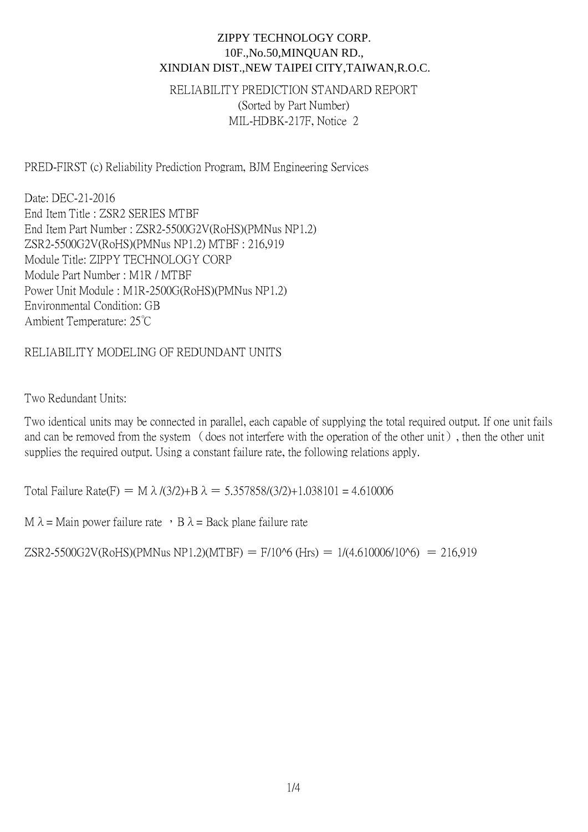RELIABILITY PREDICTION STANDARD REPORT (Sorted by Part Number) MIL-HDBK-217F, Notice 2

PRED-FIRST (c) Reliability Prediction Program, BJM Engineering Services

Date: DEC-21-2016 End Item Title : ZSR2 SERIES MTBF End Item Part Number : ZSR2-5500G2V(RoHS)(PMNus NP1.2) ZSR2-5500G2V(RoHS)(PMNus NP1.2) MTBF : 216,919 Module Title: ZIPPY TECHNOLOGY CORP Module Part Number : M1R / MTBF Power Unit Module : M1R-2500G(RoHS)(PMNus NP1.2) Environmental Condition: GB Ambient Temperature: 25℃

### RELIABILITY MODELING OF REDUNDANT UNITS

Two Redundant Units:

Two identical units may be connected in parallel, each capable of supplying the total required output. If one unit fails and can be removed from the system (does not interfere with the operation of the other unit), then the other unit supplies the required output. Using a constant failure rate, the following relations apply.

Total Failure Rate(F) = M  $\lambda$  /(3/2)+B  $\lambda$  = 5.357858/(3/2)+1.038101 = 4.610006

M  $\lambda$  = Main power failure rate  $\cdot$  B  $\lambda$  = Back plane failure rate

ZSR2-5500G2V(RoHS)(PMNus NP1.2)(MTBF) = F/10^6 (Hrs) = 1/(4.610006/10^6) = 216,919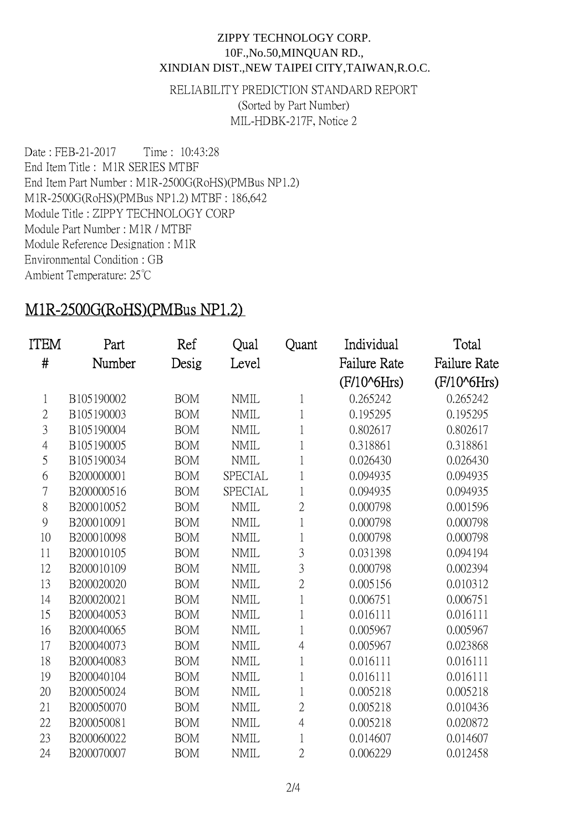RELIABILITY PREDICTION STANDARD REPORT (Sorted by Part Number) MIL-HDBK-217F, Notice 2

Date : FEB-21-2017 Time : 10:43:28 End Item Title : M1R SERIES MTBF End Item Part Number : M1R-2500G(RoHS)(PMBus NP1.2) M1R-2500G(RoHS)(PMBus NP1.2) MTBF : 186,642 Module Title : ZIPPY TECHNOLOGY CORP Module Part Number : M1R / MTBF Module Reference Designation : M1R Environmental Condition : GB Ambient Temperature: 25℃

# M1R-2500G(RoHS)(PMBus NP1.2)

| ITEM           | Part       | Ref        | Qual           | Quant          | Individual              | Total                   |
|----------------|------------|------------|----------------|----------------|-------------------------|-------------------------|
| #              | Number     | Desig      | Level          |                | <b>Failure Rate</b>     | <b>Failure Rate</b>     |
|                |            |            |                |                | (F/10 <sup>6</sup> Hrs) | (F/10 <sup>6</sup> Hrs) |
| $\mathbf{1}$   | B105190002 | <b>BOM</b> | <b>NMIL</b>    | 1              | 0.265242                | 0.265242                |
| $\overline{2}$ | B105190003 | <b>BOM</b> | <b>NMIL</b>    | 1              | 0.195295                | 0.195295                |
| 3              | B105190004 | <b>BOM</b> | <b>NMIL</b>    | 1              | 0.802617                | 0.802617                |
| $\overline{4}$ | B105190005 | <b>BOM</b> | <b>NMIL</b>    | 1              | 0.318861                | 0.318861                |
| 5              | B105190034 | <b>BOM</b> | <b>NMIL</b>    | 1              | 0.026430                | 0.026430                |
| 6              | B200000001 | <b>BOM</b> | <b>SPECIAL</b> | 1              | 0.094935                | 0.094935                |
| 7              | B200000516 | <b>BOM</b> | <b>SPECIAL</b> | 1              | 0.094935                | 0.094935                |
| 8              | B200010052 | <b>BOM</b> | <b>NMIL</b>    | $\overline{2}$ | 0.000798                | 0.001596                |
| 9              | B200010091 | <b>BOM</b> | <b>NMIL</b>    | 1              | 0.000798                | 0.000798                |
| 10             | B200010098 | <b>BOM</b> | <b>NMIL</b>    | 1              | 0.000798                | 0.000798                |
| 11             | B200010105 | <b>BOM</b> | <b>NMIL</b>    | 3              | 0.031398                | 0.094194                |
| 12             | B200010109 | <b>BOM</b> | <b>NMIL</b>    | 3              | 0.000798                | 0.002394                |
| 13             | B200020020 | <b>BOM</b> | <b>NMIL</b>    | $\overline{2}$ | 0.005156                | 0.010312                |
| 14             | B200020021 | <b>BOM</b> | <b>NMIL</b>    | 1              | 0.006751                | 0.006751                |
| 15             | B200040053 | <b>BOM</b> | <b>NMIL</b>    | 1              | 0.016111                | 0.016111                |
| 16             | B200040065 | <b>BOM</b> | <b>NMIL</b>    | 1              | 0.005967                | 0.005967                |
| 17             | B200040073 | <b>BOM</b> | <b>NMIL</b>    | $\overline{4}$ | 0.005967                | 0.023868                |
| 18             | B200040083 | <b>BOM</b> | <b>NMIL</b>    | 1              | 0.016111                | 0.016111                |
| 19             | B200040104 | <b>BOM</b> | <b>NMIL</b>    | 1              | 0.016111                | 0.016111                |
| 20             | B200050024 | <b>BOM</b> | <b>NMIL</b>    | 1              | 0.005218                | 0.005218                |
| 21             | B200050070 | <b>BOM</b> | <b>NMIL</b>    | $\overline{2}$ | 0.005218                | 0.010436                |
| 22             | B200050081 | <b>BOM</b> | <b>NMIL</b>    | $\overline{4}$ | 0.005218                | 0.020872                |
| 23             | B200060022 | <b>BOM</b> | <b>NMIL</b>    | 1              | 0.014607                | 0.014607                |
| 24             | B200070007 | <b>BOM</b> | <b>NMIL</b>    | $\overline{2}$ | 0.006229                | 0.012458                |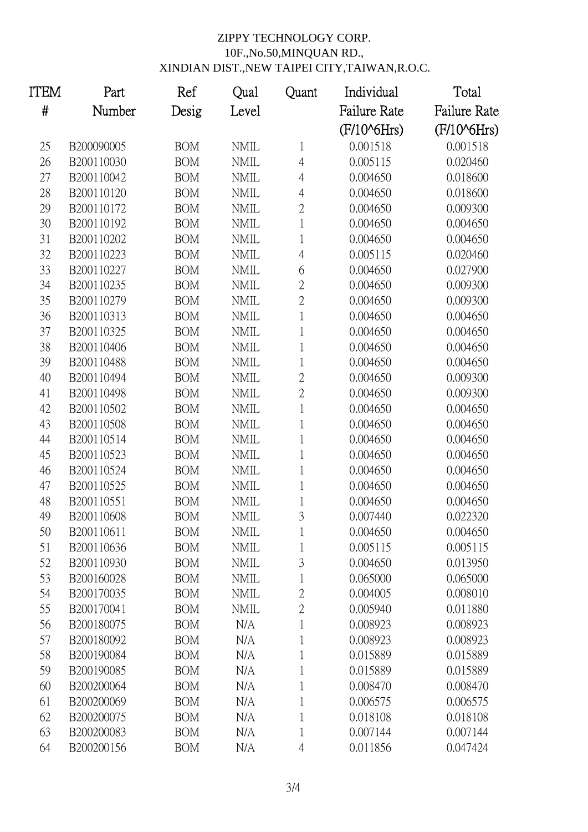| ITEM | Part       | Ref        | Qual        | Quant          | Individual              | Total                   |
|------|------------|------------|-------------|----------------|-------------------------|-------------------------|
| $\#$ | Number     | Desig      | Level       |                | <b>Failure Rate</b>     | <b>Failure Rate</b>     |
|      |            |            |             |                | (F/10 <sup>6</sup> Hrs) | (F/10 <sup>6</sup> Hrs) |
| 25   | B200090005 | <b>BOM</b> | <b>NMIL</b> | $\mathbf{1}$   | 0.001518                | 0.001518                |
| 26   | B200110030 | <b>BOM</b> | <b>NMIL</b> | $\overline{4}$ | 0.005115                | 0.020460                |
| 27   | B200110042 | <b>BOM</b> | <b>NMIL</b> | $\overline{4}$ | 0.004650                | 0.018600                |
| 28   | B200110120 | <b>BOM</b> | <b>NMIL</b> | $\overline{4}$ | 0.004650                | 0.018600                |
| 29   | B200110172 | <b>BOM</b> | <b>NMIL</b> | $\overline{2}$ | 0.004650                | 0.009300                |
| 30   | B200110192 | <b>BOM</b> | <b>NMIL</b> | 1              | 0.004650                | 0.004650                |
| 31   | B200110202 | <b>BOM</b> | <b>NMIL</b> | 1              | 0.004650                | 0.004650                |
| 32   | B200110223 | <b>BOM</b> | <b>NMIL</b> | $\overline{4}$ | 0.005115                | 0.020460                |
| 33   | B200110227 | <b>BOM</b> | <b>NMIL</b> | 6              | 0.004650                | 0.027900                |
| 34   | B200110235 | <b>BOM</b> | <b>NMIL</b> | $\overline{2}$ | 0.004650                | 0.009300                |
| 35   | B200110279 | <b>BOM</b> | <b>NMIL</b> | $\overline{2}$ | 0.004650                | 0.009300                |
| 36   | B200110313 | <b>BOM</b> | <b>NMIL</b> | 1              | 0.004650                | 0.004650                |
| 37   | B200110325 | <b>BOM</b> | <b>NMIL</b> | 1              | 0.004650                | 0.004650                |
| 38   | B200110406 | <b>BOM</b> | <b>NMIL</b> | 1              | 0.004650                | 0.004650                |
| 39   | B200110488 | <b>BOM</b> | <b>NMIL</b> | 1              | 0.004650                | 0.004650                |
| 40   | B200110494 | <b>BOM</b> | <b>NMIL</b> | $\overline{2}$ | 0.004650                | 0.009300                |
| 41   | B200110498 | <b>BOM</b> | <b>NMIL</b> | $\overline{2}$ | 0.004650                | 0.009300                |
| 42   | B200110502 | <b>BOM</b> | <b>NMIL</b> | 1              | 0.004650                | 0.004650                |
| 43   | B200110508 | <b>BOM</b> | <b>NMIL</b> | 1              | 0.004650                | 0.004650                |
| 44   | B200110514 | <b>BOM</b> | <b>NMIL</b> | 1              | 0.004650                | 0.004650                |
| 45   | B200110523 | <b>BOM</b> | <b>NMIL</b> | 1              | 0.004650                | 0.004650                |
| 46   | B200110524 | <b>BOM</b> | <b>NMIL</b> | $\mathbf 1$    | 0.004650                | 0.004650                |
| 47   | B200110525 | <b>BOM</b> | <b>NMIL</b> | 1              | 0.004650                | 0.004650                |
| 48   | B200110551 | <b>BOM</b> | <b>NMIL</b> | 1              | 0.004650                | 0.004650                |
| 49   | B200110608 | <b>BOM</b> | <b>NMIL</b> | 3              | 0.007440                | 0.022320                |
| 50   | B200110611 | <b>BOM</b> | NMIL        |                | 0.004650                | 0.004650                |
| 51   | B200110636 | <b>BOM</b> | <b>NMIL</b> |                | 0.005115                | 0.005115                |
| 52   | B200110930 | <b>BOM</b> | <b>NMIL</b> | 3              | 0.004650                | 0.013950                |
| 53   | B200160028 | <b>BOM</b> | <b>NMIL</b> | 1              | 0.065000                | 0.065000                |
| 54   | B200170035 | <b>BOM</b> | <b>NMIL</b> | $\overline{2}$ | 0.004005                | 0.008010                |
| 55   | B200170041 | <b>BOM</b> | <b>NMIL</b> | $\overline{2}$ | 0.005940                | 0.011880                |
| 56   | B200180075 | <b>BOM</b> | N/A         |                | 0.008923                | 0.008923                |
| 57   | B200180092 | <b>BOM</b> | N/A         |                | 0.008923                | 0.008923                |
| 58   | B200190084 | <b>BOM</b> | N/A         | 1              | 0.015889                | 0.015889                |
| 59   | B200190085 | <b>BOM</b> | N/A         | 1              | 0.015889                | 0.015889                |
| 60   | B200200064 | <b>BOM</b> | N/A         |                | 0.008470                | 0.008470                |
| 61   | B200200069 | <b>BOM</b> | N/A         |                | 0.006575                | 0.006575                |
| 62   | B200200075 | <b>BOM</b> | N/A         |                | 0.018108                | 0.018108                |
| 63   | B200200083 | <b>BOM</b> | N/A         | 1              | 0.007144                | 0.007144                |
| 64   | B200200156 | <b>BOM</b> | N/A         | $\overline{4}$ | 0.011856                | 0.047424                |